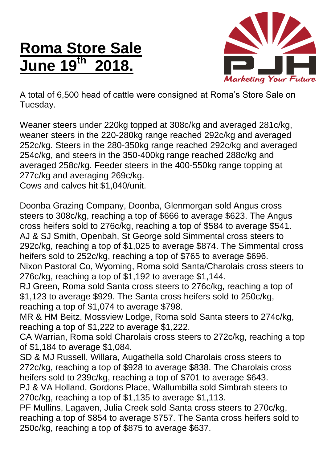## **Roma Store Sale June 19 th 2018.**



A total of 6,500 head of cattle were consigned at Roma's Store Sale on Tuesday.

Weaner steers under 220kg topped at 308c/kg and averaged 281c/kg, weaner steers in the 220-280kg range reached 292c/kg and averaged 252c/kg. Steers in the 280-350kg range reached 292c/kg and averaged 254c/kg, and steers in the 350-400kg range reached 288c/kg and averaged 258c/kg. Feeder steers in the 400-550kg range topping at 277c/kg and averaging 269c/kg.

Cows and calves hit \$1,040/unit.

Doonba Grazing Company, Doonba, Glenmorgan sold Angus cross steers to 308c/kg, reaching a top of \$666 to average \$623. The Angus cross heifers sold to 276c/kg, reaching a top of \$584 to average \$541. AJ & SJ Smith, Openbah, St George sold Simmental cross steers to 292c/kg, reaching a top of \$1,025 to average \$874. The Simmental cross heifers sold to 252c/kg, reaching a top of \$765 to average \$696. Nixon Pastoral Co, Wyoming, Roma sold Santa/Charolais cross steers to 276c/kg, reaching a top of \$1,192 to average \$1,144.

RJ Green, Roma sold Santa cross steers to 276c/kg, reaching a top of \$1,123 to average \$929. The Santa cross heifers sold to 250c/kg, reaching a top of \$1,074 to average \$798.

MR & HM Beitz, Mossview Lodge, Roma sold Santa steers to 274c/kg, reaching a top of \$1,222 to average \$1,222.

CA Warrian, Roma sold Charolais cross steers to 272c/kg, reaching a top of \$1,184 to average \$1,084.

SD & MJ Russell, Willara, Augathella sold Charolais cross steers to 272c/kg, reaching a top of \$928 to average \$838. The Charolais cross heifers sold to 239c/kg, reaching a top of \$701 to average \$643. PJ & VA Holland, Gordons Place, Wallumbilla sold Simbrah steers to

270c/kg, reaching a top of \$1,135 to average \$1,113.

PF Mullins, Lagaven, Julia Creek sold Santa cross steers to 270c/kg, reaching a top of \$854 to average \$757. The Santa cross heifers sold to 250c/kg, reaching a top of \$875 to average \$637.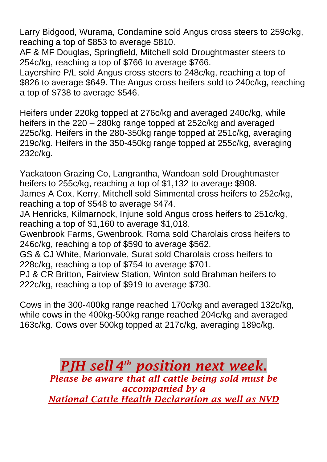Larry Bidgood, Wurama, Condamine sold Angus cross steers to 259c/kg, reaching a top of \$853 to average \$810.

AF & MF Douglas, Springfield, Mitchell sold Droughtmaster steers to 254c/kg, reaching a top of \$766 to average \$766.

Layershire P/L sold Angus cross steers to 248c/kg, reaching a top of \$826 to average \$649. The Angus cross heifers sold to 240c/kg, reaching a top of \$738 to average \$546.

Heifers under 220kg topped at 276c/kg and averaged 240c/kg, while heifers in the 220 – 280kg range topped at 252c/kg and averaged 225c/kg. Heifers in the 280-350kg range topped at 251c/kg, averaging 219c/kg. Heifers in the 350-450kg range topped at 255c/kg, averaging 232c/kg.

Yackatoon Grazing Co, Langrantha, Wandoan sold Droughtmaster heifers to 255c/kg, reaching a top of \$1,132 to average \$908. James A Cox, Kerry, Mitchell sold Simmental cross heifers to 252c/kg,

reaching a top of \$548 to average \$474.

JA Henricks, Kilmarnock, Injune sold Angus cross heifers to 251c/kg, reaching a top of \$1,160 to average \$1,018.

Gwenbrook Farms, Gwenbrook, Roma sold Charolais cross heifers to 246c/kg, reaching a top of \$590 to average \$562.

GS & CJ White, Marionvale, Surat sold Charolais cross heifers to 228c/kg, reaching a top of \$754 to average \$701.

PJ & CR Britton, Fairview Station, Winton sold Brahman heifers to 222c/kg, reaching a top of \$919 to average \$730.

Cows in the 300-400kg range reached 170c/kg and averaged 132c/kg, while cows in the 400kg-500kg range reached 204c/kg and averaged 163c/kg. Cows over 500kg topped at 217c/kg, averaging 189c/kg.

> *PJH sell 4 th position next week. Please be aware that all cattle being sold must be accompanied by a National Cattle Health Declaration as well as NVD*